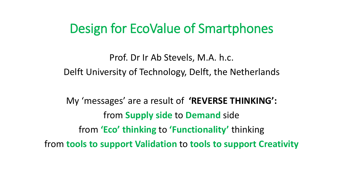#### Design for EcoValue of Smartphones

Prof. Dr Ir Ab Stevels, M.A. h.c. Delft University of Technology, Delft, the Netherlands

My 'messages' are a result of **'REVERSE THINKING':** from **Supply side** to **Demand** side from **'Eco' thinking** to **'Functionality'** thinking from **tools to support Validation** to **tools to support Creativity**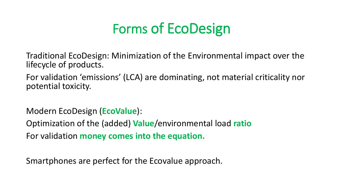# Forms of EcoDesign

Traditional EcoDesign: Minimization of the Environmental impact over the lifecycle of products.

For validation 'emissions' (LCA) are dominating, not material criticality nor potential toxicity.

Modern EcoDesign (**EcoValue**):

Optimization of the (added) **Value**/environmental load **ratio**

For validation **money comes into the equation.**

Smartphones are perfect for the Ecovalue approach.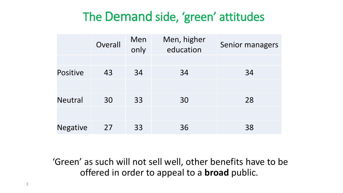#### The Demand side, 'green' attitudes

|                 | Overall | Men<br>only | Men, higher<br>education | Senior managers |  |
|-----------------|---------|-------------|--------------------------|-----------------|--|
|                 |         |             |                          |                 |  |
| <b>Positive</b> | 43      | 34          | 34                       | 34              |  |
|                 |         |             |                          |                 |  |
| <b>Neutral</b>  | 30      | 33          | 30                       | 28              |  |
|                 |         |             |                          |                 |  |
| <b>Negative</b> | 27      | 33          | 36                       | 38              |  |

'Green' as such will not sell well, other benefits have to be offered in order to appeal to a **broad** public.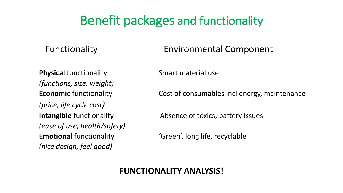### Benefit packages and functionality

**Physical** functionality **SMART SMART SMART METER** Smart material use *(functions, size, weight) (price, life cycle cost) (ease of use, health/safety) (nice design, feel good)*

#### Functionality Environmental Component

**Economic** functionality **Cost of consumables incl energy, maintenance** 

**Intangible** functionality **Absence of toxics, battery issues** 

**Emotional** functionality **interpretional** 'Green', long life, recyclable

#### **FUNCTIONALITY ANALYSIS!**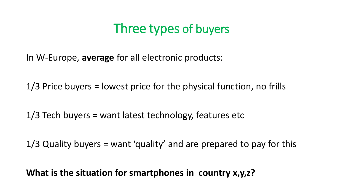#### Three types of buyers

In W-Europe, **average** for all electronic products:

1/3 Price buyers = lowest price for the physical function, no frills

1/3 Tech buyers = want latest technology, features etc

1/3 Quality buyers = want 'quality' and are prepared to pay for this

**What is the situation for smartphones in country x,y,z?**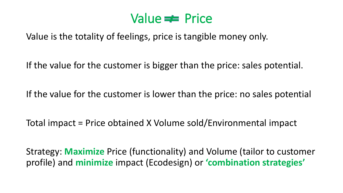#### Value  $\equiv$  Price

Value is the totality of feelings, price is tangible money only.

If the value for the customer is bigger than the price: sales potential.

If the value for the customer is lower than the price: no sales potential

Total impact = Price obtained X Volume sold/Environmental impact

Strategy: **Maximize** Price (functionality) and Volume (tailor to customer profile) and **minimize** impact (Ecodesign) or **'combination strategies'**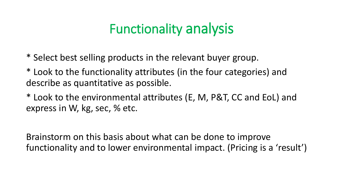# Functionality analysis

\* Select best selling products in the relevant buyer group.

\* Look to the functionality attributes (in the four categories) and describe as quantitative as possible.

\* Look to the environmental attributes (E, M, P&T, CC and EoL) and express in W, kg, sec, % etc.

Brainstorm on this basis about what can be done to improve functionality and to lower environmental impact. (Pricing is a 'result')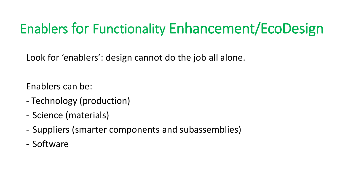# Enablers for Functionality Enhancement/EcoDesign

Look for 'enablers': design cannot do the job all alone.

Enablers can be:

- Technology (production)
- Science (materials)
- Suppliers (smarter components and subassemblies)
- Software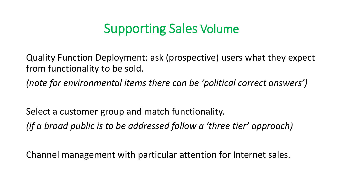# Supporting Sales Volume

Quality Function Deployment: ask (prospective) users what they expect from functionality to be sold.

*(note for environmental items there can be 'political correct answers')*

Select a customer group and match functionality. *(if a broad public is to be addressed follow a 'three tier' approach)*

Channel management with particular attention for Internet sales.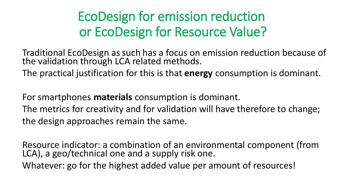# EcoDesign for emission reduction or EcoDesign for Resource Value?

Traditional EcoDesign as such has a focus on emission reduction because of the validation through LCA related methods.

The practical justification for this is that **energy** consumption is dominant.

For smartphones **materials** consumption is dominant.

The metrics for creativity and for validation will have therefore to change; the design approaches remain the same.

Resource indicator: a combination of an environmental component (from LCA), a geo/technical one and a supply risk one. Whatever: go for the highest added value per amount of resources!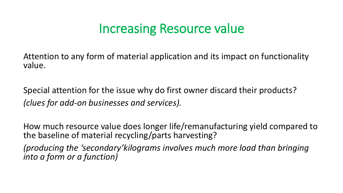# Increasing Resource value

Attention to any form of material application and its impact on functionality value.

Special attention for the issue why do first owner discard their products? *(clues for add-on businesses and services).*

How much resource value does longer life/remanufacturing yield compared to the baseline of material recycling/parts harvesting?

*(producing the 'secondary'kilograms involves much more load than bringing into a form or a function)*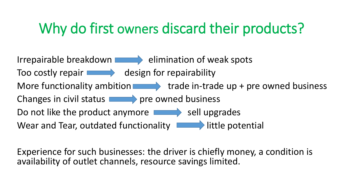# Why do first owners discard their products?

Irrepairable breakdown  $\qquad \qquad$  elimination of weak spots Too costly repair **the set of the set of the Section** design for repairability More functionality ambition  $\longrightarrow$  trade in-trade up + pre owned business Changes in civil status  $\rule{1em}{0.15mm}$  pre owned business Do not like the product anymore  $\Box$  sell upgrades Wear and Tear, outdated functionality **Little potential** r

Experience for such businesses: the driver is chiefly money, a condition is availability of outlet channels, resource savings limited.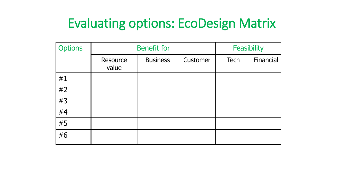# Evaluating options: EcoDesign Matrix

| <b>Options</b> | <b>Benefit for</b> | Feasibility     |          |             |           |
|----------------|--------------------|-----------------|----------|-------------|-----------|
|                | Resource<br>value  | <b>Business</b> | Customer | <b>Tech</b> | Financial |
| #1             |                    |                 |          |             |           |
| #2             |                    |                 |          |             |           |
| #3             |                    |                 |          |             |           |
| #4             |                    |                 |          |             |           |
| #5             |                    |                 |          |             |           |
| #6             |                    |                 |          |             |           |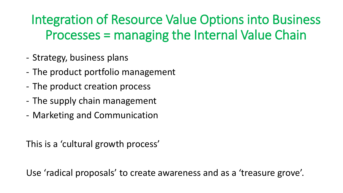# Integration of Resource Value Options into Business Processes = managing the Internal Value Chain

- Strategy, business plans
- The product portfolio management
- The product creation process
- The supply chain management
- Marketing and Communication

This is a 'cultural growth process'

Use 'radical proposals' to create awareness and as a 'treasure grove'.